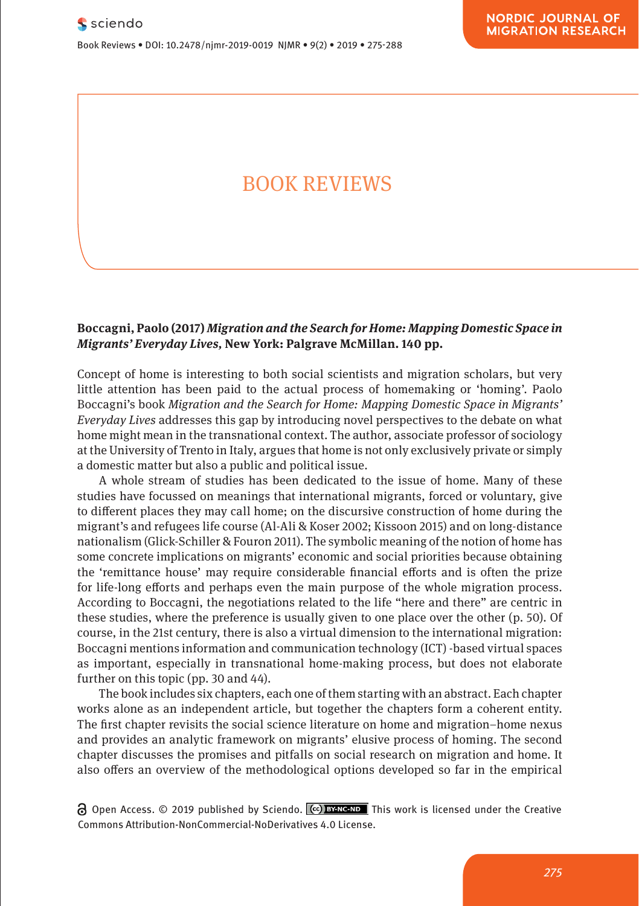Book Reviews • DOI: 10.2478/njmr-2019-0019 NJMR • 9(2) • 2019 • 275-288

# BOOK REVIEWS

### **Boccagni, Paolo (2017)** *Migration and the Search for Home: Mapping Domestic Space in Migrants' Everyday Lives,* **New York: Palgrave McMillan. 140 pp.**

Concept of home is interesting to both social scientists and migration scholars, but very little attention has been paid to the actual process of homemaking or 'homing'. Paolo Boccagni's book *Migration and the Search for Home: Mapping Domestic Space in Migrants' Everyday Lives* addresses this gap by introducing novel perspectives to the debate on what home might mean in the transnational context. The author, associate professor of sociology at the University of Trento in Italy, argues that home is not only exclusively private or simply a domestic matter but also a public and political issue.

A whole stream of studies has been dedicated to the issue of home. Many of these studies have focussed on meanings that international migrants, forced or voluntary, give to different places they may call home; on the discursive construction of home during the migrant's and refugees life course (Al-Ali & Koser 2002; Kissoon 2015) and on long-distance nationalism (Glick-Schiller & Fouron 2011). The symbolic meaning of the notion of home has some concrete implications on migrants' economic and social priorities because obtaining the 'remittance house' may require considerable financial efforts and is often the prize for life-long efforts and perhaps even the main purpose of the whole migration process. According to Boccagni, the negotiations related to the life "here and there" are centric in these studies, where the preference is usually given to one place over the other (p. 50). Of course, in the 21st century, there is also a virtual dimension to the international migration: Boccagni mentions information and communication technology (ICT) -based virtual spaces as important, especially in transnational home-making process, but does not elaborate further on this topic (pp. 30 and 44).

The book includes six chapters, each one of them starting with an abstract. Each chapter works alone as an independent article, but together the chapters form a coherent entity. The first chapter revisits the social science literature on home and migration–home nexus and provides an analytic framework on migrants' elusive process of homing. The second chapter discusses the promises and pitfalls on social research on migration and home. It also offers an overview of the methodological options developed so far in the empirical

 $\Theta$  Open Access. © 2019 published by Sciendo.  $\left[\phi\right]$  BYNC-ND This work is licensed under the Creative Commons Attribution-NonCommercial-NoDerivatives 4.0 License.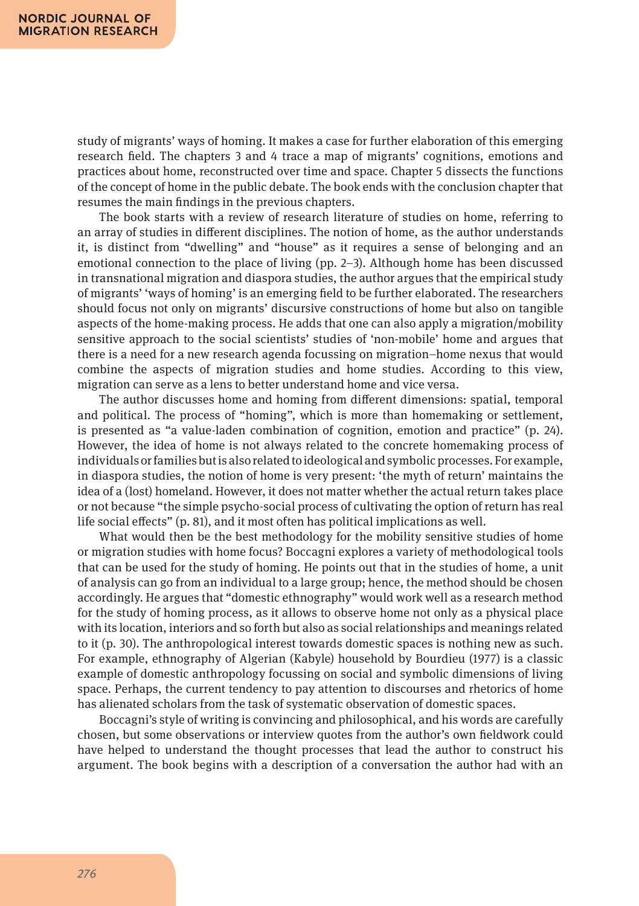study of migrants' ways of homing. It makes a case for further elaboration of this emerging research field. The chapters 3 and 4 trace a map of migrants' cognitions, emotions and practices about home, reconstructed over time and space. Chapter 5 dissects the functions of the concept of home in the public debate. The book ends with the conclusion chapter that resumes the main findings in the previous chapters.

The book starts with a review of research literature of studies on home, referring to an array of studies in different disciplines. The notion of home, as the author understands it, is distinct from "dwelling" and "house" as it requires a sense of belonging and an emotional connection to the place of living (pp. 2–3). Although home has been discussed in transnational migration and diaspora studies, the author argues that the empirical study of migrants' 'ways of homing' is an emerging field to be further elaborated. The researchers should focus not only on migrants' discursive constructions of home but also on tangible aspects of the home-making process. He adds that one can also apply a migration/mobility sensitive approach to the social scientists' studies of 'non-mobile' home and argues that there is a need for a new research agenda focussing on migration–home nexus that would combine the aspects of migration studies and home studies. According to this view, migration can serve as a lens to better understand home and vice versa.

The author discusses home and homing from different dimensions: spatial, temporal and political. The process of "homing", which is more than homemaking or settlement, is presented as "a value-laden combination of cognition, emotion and practice" (p. 24). However, the idea of home is not always related to the concrete homemaking process of individuals or families but is also related to ideological and symbolic processes. For example, in diaspora studies, the notion of home is very present: 'the myth of return' maintains the idea of a (lost) homeland. However, it does not matter whether the actual return takes place or not because "the simple psycho-social process of cultivating the option of return has real life social effects" (p. 81), and it most often has political implications as well.

What would then be the best methodology for the mobility sensitive studies of home or migration studies with home focus? Boccagni explores a variety of methodological tools that can be used for the study of homing. He points out that in the studies of home, a unit of analysis can go from an individual to a large group; hence, the method should be chosen accordingly. He argues that "domestic ethnography" would work well as a research method for the study of homing process, as it allows to observe home not only as a physical place with its location, interiors and so forth but also as social relationships and meanings related to it (p. 30). The anthropological interest towards domestic spaces is nothing new as such. For example, ethnography of Algerian (Kabyle) household by Bourdieu (1977) is a classic example of domestic anthropology focussing on social and symbolic dimensions of living space. Perhaps, the current tendency to pay attention to discourses and rhetorics of home has alienated scholars from the task of systematic observation of domestic spaces.

Boccagni's style of writing is convincing and philosophical, and his words are carefully chosen, but some observations or interview quotes from the author's own fieldwork could have helped to understand the thought processes that lead the author to construct his argument. The book begins with a description of a conversation the author had with an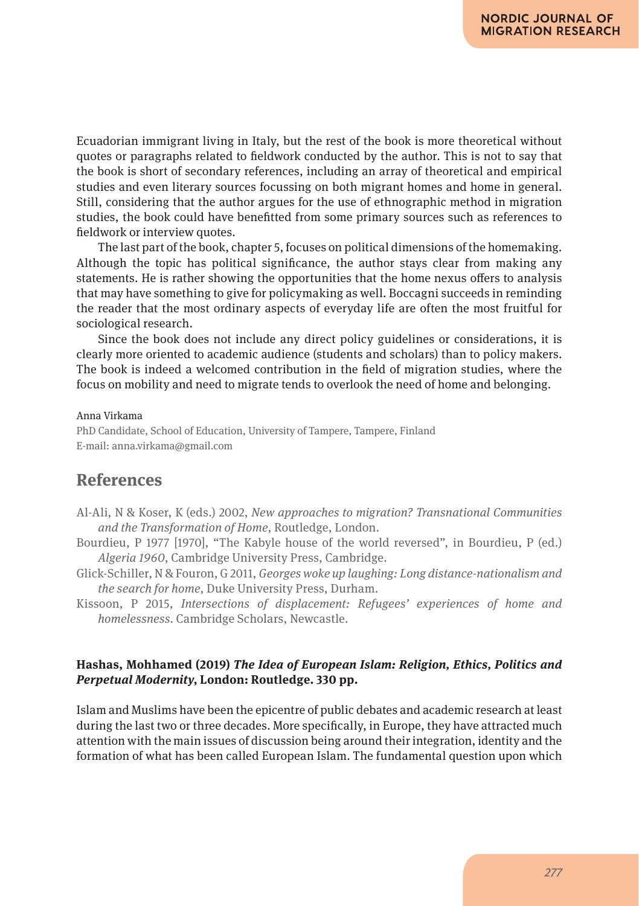Ecuadorian immigrant living in Italy, but the rest of the book is more theoretical without quotes or paragraphs related to fieldwork conducted by the author. This is not to say that the book is short of secondary references, including an array of theoretical and empirical studies and even literary sources focussing on both migrant homes and home in general. Still, considering that the author argues for the use of ethnographic method in migration studies, the book could have benefitted from some primary sources such as references to fieldwork or interview quotes.

The last part of the book, chapter 5, focuses on political dimensions of the homemaking. Although the topic has political significance, the author stays clear from making any statements. He is rather showing the opportunities that the home nexus offers to analysis that may have something to give for policymaking as well. Boccagni succeeds in reminding the reader that the most ordinary aspects of everyday life are often the most fruitful for sociological research.

Since the book does not include any direct policy guidelines or considerations, it is clearly more oriented to academic audience (students and scholars) than to policy makers. The book is indeed a welcomed contribution in the field of migration studies, where the focus on mobility and need to migrate tends to overlook the need of home and belonging.

#### Anna Virkama

PhD Candidate, School of Education, University of Tampere, Tampere, Finland E-mail: anna.virkama@gmail.com

# **References**

- Al-Ali, N & Koser, K (eds.) 2002, *New approaches to migration? Transnational Communities and the Transformation of Home*, Routledge, London.
- Bourdieu, P 1977 [1970], "The Kabyle house of the world reversed", in Bourdieu, P (ed.) *Algeria 1960*, Cambridge University Press, Cambridge.
- Glick-Schiller, N & Fouron, G 2011, *Georges woke up laughing: Long distance-nationalism and the search for home*, Duke University Press, Durham.
- Kissoon, P 2015, *Intersections of displacement: Refugees' experiences of home and homelessness*. Cambridge Scholars, Newcastle.

#### **Hashas, Mohhamed (2019)** *The Idea of European Islam: Religion, Ethics, Politics and Perpetual Modernity***, London: Routledge. 330 pp.**

Islam and Muslims have been the epicentre of public debates and academic research at least during the last two or three decades. More specifically, in Europe, they have attracted much attention with the main issues of discussion being around their integration, identity and the formation of what has been called European Islam. The fundamental question upon which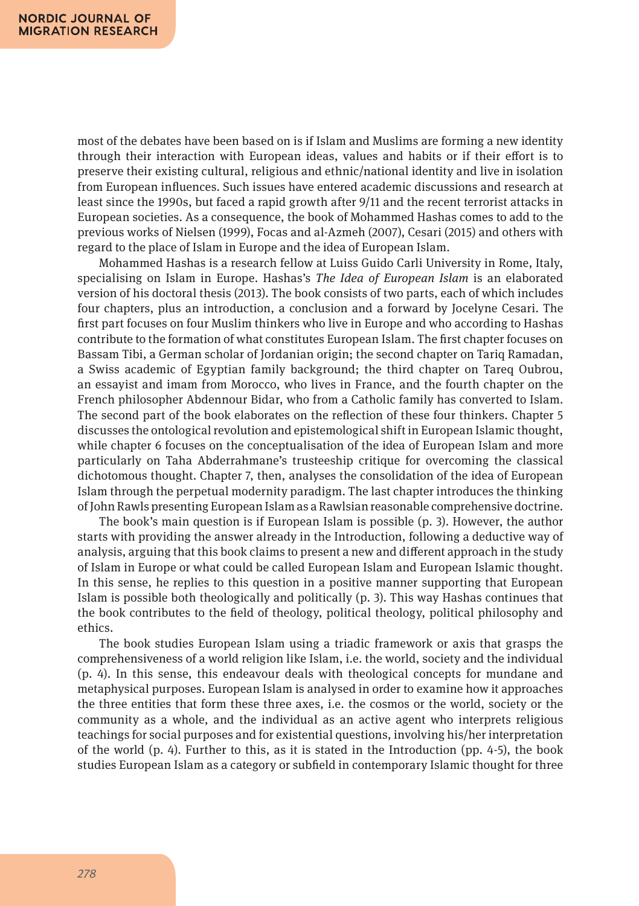most of the debates have been based on is if Islam and Muslims are forming a new identity through their interaction with European ideas, values and habits or if their effort is to preserve their existing cultural, religious and ethnic/national identity and live in isolation from European influences. Such issues have entered academic discussions and research at least since the 1990s, but faced a rapid growth after 9/11 and the recent terrorist attacks in European societies. As a consequence, the book of Mohammed Hashas comes to add to the previous works of Nielsen (1999), Focas and al-Azmeh (2007), Cesari (2015) and others with regard to the place of Islam in Europe and the idea of European Islam.

Mohammed Hashas is a research fellow at Luiss Guido Carli University in Rome, Italy, specialising on Islam in Europe. Hashas's *The Idea of European Islam* is an elaborated version of his doctoral thesis (2013). The book consists of two parts, each of which includes four chapters, plus an introduction, a conclusion and a forward by Jocelyne Cesari. The first part focuses on four Muslim thinkers who live in Europe and who according to Hashas contribute to the formation of what constitutes European Islam. The first chapter focuses on Bassam Tibi, a German scholar of Jordanian origin; the second chapter on Tariq Ramadan, a Swiss academic of Egyptian family background; the third chapter on Tareq Oubrou, an essayist and imam from Morocco, who lives in France, and the fourth chapter on the French philosopher Abdennour Bidar, who from a Catholic family has converted to Islam. The second part of the book elaborates on the reflection of these four thinkers. Chapter 5 discusses the ontological revolution and epistemological shift in European Islamic thought, while chapter 6 focuses on the conceptualisation of the idea of European Islam and more particularly on Taha Abderrahmane's trusteeship critique for overcoming the classical dichotomous thought. Chapter 7, then, analyses the consolidation of the idea of European Islam through the perpetual modernity paradigm. The last chapter introduces the thinking of John Rawls presenting European Islam as a Rawlsian reasonable comprehensive doctrine.

The book's main question is if European Islam is possible (p. 3). However, the author starts with providing the answer already in the Introduction, following a deductive way of analysis, arguing that this book claims to present a new and different approach in the study of Islam in Europe or what could be called European Islam and European Islamic thought. In this sense, he replies to this question in a positive manner supporting that European Islam is possible both theologically and politically (p. 3). This way Hashas continues that the book contributes to the field of theology, political theology, political philosophy and ethics.

The book studies European Islam using a triadic framework or axis that grasps the comprehensiveness of a world religion like Islam, i.e. the world, society and the individual (p. 4). In this sense, this endeavour deals with theological concepts for mundane and metaphysical purposes. European Islam is analysed in order to examine how it approaches the three entities that form these three axes, i.e. the cosmos or the world, society or the community as a whole, and the individual as an active agent who interprets religious teachings for social purposes and for existential questions, involving his/her interpretation of the world (p. 4). Further to this, as it is stated in the Introduction (pp. 4-5), the book studies European Islam as a category or subfield in contemporary Islamic thought for three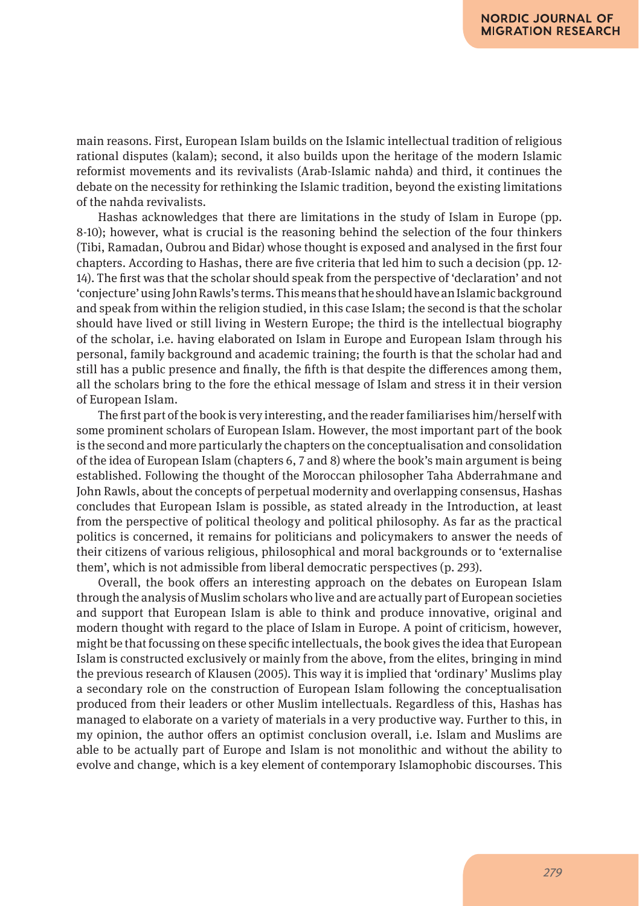main reasons. First, European Islam builds on the Islamic intellectual tradition of religious rational disputes (kalam); second, it also builds upon the heritage of the modern Islamic reformist movements and its revivalists (Arab-Islamic nahda) and third, it continues the debate on the necessity for rethinking the Islamic tradition, beyond the existing limitations of the nahda revivalists.

Hashas acknowledges that there are limitations in the study of Islam in Europe (pp. 8-10); however, what is crucial is the reasoning behind the selection of the four thinkers (Tibi, Ramadan, Oubrou and Bidar) whose thought is exposed and analysed in the first four chapters. According to Hashas, there are five criteria that led him to such a decision (pp. 12- 14). The first was that the scholar should speak from the perspective of 'declaration' and not 'conjecture' using John Rawls's terms. This means that he should have an Islamic background and speak from within the religion studied, in this case Islam; the second is that the scholar should have lived or still living in Western Europe; the third is the intellectual biography of the scholar, i.e. having elaborated on Islam in Europe and European Islam through his personal, family background and academic training; the fourth is that the scholar had and still has a public presence and finally, the fifth is that despite the differences among them, all the scholars bring to the fore the ethical message of Islam and stress it in their version of European Islam.

The first part of the book is very interesting, and the reader familiarises him/herself with some prominent scholars of European Islam. However, the most important part of the book is the second and more particularly the chapters on the conceptualisation and consolidation of the idea of European Islam (chapters 6, 7 and 8) where the book's main argument is being established. Following the thought of the Moroccan philosopher Taha Abderrahmane and John Rawls, about the concepts of perpetual modernity and overlapping consensus, Hashas concludes that European Islam is possible, as stated already in the Introduction, at least from the perspective of political theology and political philosophy. As far as the practical politics is concerned, it remains for politicians and policymakers to answer the needs of their citizens of various religious, philosophical and moral backgrounds or to 'externalise them', which is not admissible from liberal democratic perspectives (p. 293).

Overall, the book offers an interesting approach on the debates on European Islam through the analysis of Muslim scholars who live and are actually part of European societies and support that European Islam is able to think and produce innovative, original and modern thought with regard to the place of Islam in Europe. A point of criticism, however, might be that focussing on these specific intellectuals, the book gives the idea that European Islam is constructed exclusively or mainly from the above, from the elites, bringing in mind the previous research of Klausen (2005). This way it is implied that 'ordinary' Muslims play a secondary role on the construction of European Islam following the conceptualisation produced from their leaders or other Muslim intellectuals. Regardless of this, Hashas has managed to elaborate on a variety of materials in a very productive way. Further to this, in my opinion, the author offers an optimist conclusion overall, i.e. Islam and Muslims are able to be actually part of Europe and Islam is not monolithic and without the ability to evolve and change, which is a key element of contemporary Islamophobic discourses. This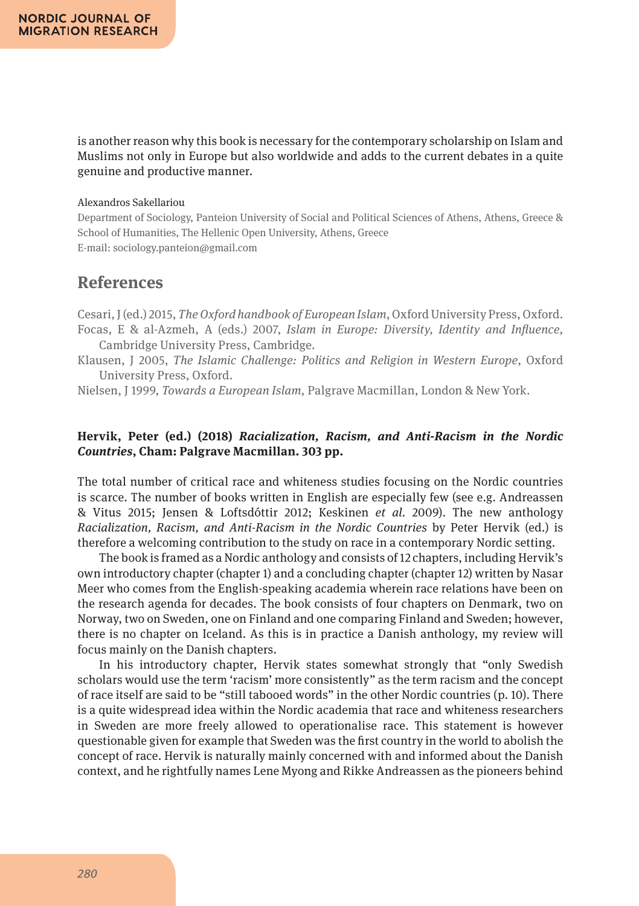is another reason why this book is necessary for the contemporary scholarship on Islam and Muslims not only in Europe but also worldwide and adds to the current debates in a quite genuine and productive manner.

#### Alexandros Sakellariou

Department of Sociology, Panteion University of Social and Political Sciences of Athens, Athens, Greece & School of Humanities, The Hellenic Open University, Athens, Greece E-mail: sociology.panteion@gmail.com

# **References**

Cesari, J (ed.) 2015, *The Oxford handbook of European Islam*, Oxford University Press, Oxford. Focas, E & al-Azmeh, A (eds.) 2007, *Islam in Europe: Diversity, Identity and Influence*, Cambridge University Press, Cambridge.

Klausen, J 2005, *The Islamic Challenge: Politics and Religion in Western Europe*, Oxford University Press, Oxford.

Nielsen, J 1999, *Towards a European Islam*, Palgrave Macmillan, London & New York.

#### **Hervik, Peter (ed.) (2018)** *Racialization, Racism, and Anti-Racism in the Nordic Countries***, Cham: Palgrave Macmillan. 303 pp.**

The total number of critical race and whiteness studies focusing on the Nordic countries is scarce. The number of books written in English are especially few (see e.g. Andreassen & Vitus 2015; Jensen & Loftsdóttir 2012; Keskinen *et al.* 2009). The new anthology *Racialization, Racism, and Anti-Racism in the Nordic Countries* by Peter Hervik (ed.) is therefore a welcoming contribution to the study on race in a contemporary Nordic setting.

The book is framed as a Nordic anthology and consists of 12 chapters, including Hervik's own introductory chapter (chapter 1) and a concluding chapter (chapter 12) written by Nasar Meer who comes from the English-speaking academia wherein race relations have been on the research agenda for decades. The book consists of four chapters on Denmark, two on Norway, two on Sweden, one on Finland and one comparing Finland and Sweden; however, there is no chapter on Iceland. As this is in practice a Danish anthology, my review will focus mainly on the Danish chapters.

In his introductory chapter, Hervik states somewhat strongly that "only Swedish scholars would use the term 'racism' more consistently" as the term racism and the concept of race itself are said to be "still tabooed words" in the other Nordic countries (p. 10). There is a quite widespread idea within the Nordic academia that race and whiteness researchers in Sweden are more freely allowed to operationalise race. This statement is however questionable given for example that Sweden was the first country in the world to abolish the concept of race. Hervik is naturally mainly concerned with and informed about the Danish context, and he rightfully names Lene Myong and Rikke Andreassen as the pioneers behind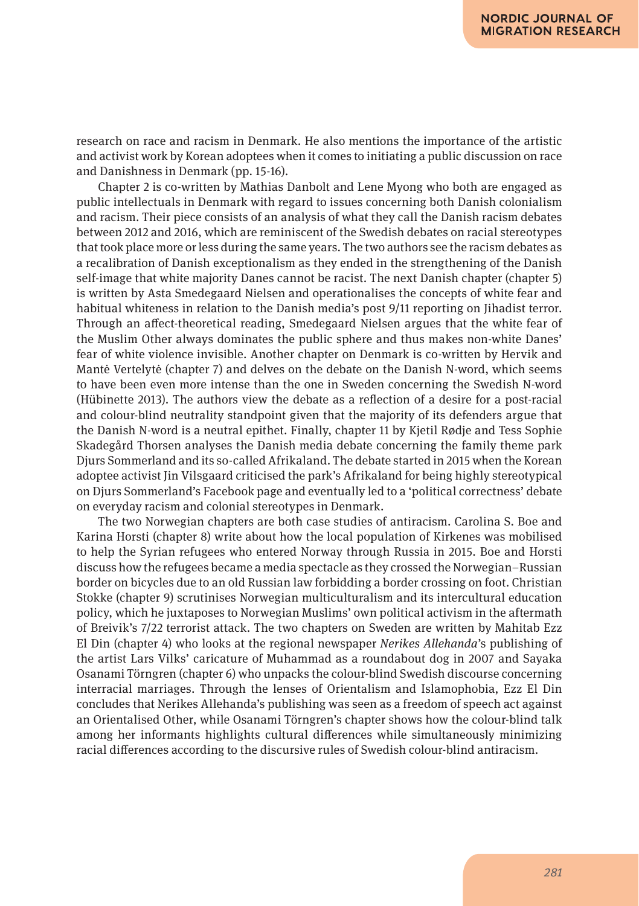research on race and racism in Denmark. He also mentions the importance of the artistic and activist work by Korean adoptees when it comes to initiating a public discussion on race and Danishness in Denmark (pp. 15-16).

Chapter 2 is co-written by Mathias Danbolt and Lene Myong who both are engaged as public intellectuals in Denmark with regard to issues concerning both Danish colonialism and racism. Their piece consists of an analysis of what they call the Danish racism debates between 2012 and 2016, which are reminiscent of the Swedish debates on racial stereotypes that took place more or less during the same years. The two authors see the racism debates as a recalibration of Danish exceptionalism as they ended in the strengthening of the Danish self-image that white majority Danes cannot be racist. The next Danish chapter (chapter 5) is written by Asta Smedegaard Nielsen and operationalises the concepts of white fear and habitual whiteness in relation to the Danish media's post 9/11 reporting on Jihadist terror. Through an affect-theoretical reading, Smedegaard Nielsen argues that the white fear of the Muslim Other always dominates the public sphere and thus makes non-white Danes' fear of white violence invisible. Another chapter on Denmark is co-written by Hervik and Mantė Vertelytė (chapter 7) and delves on the debate on the Danish N-word, which seems to have been even more intense than the one in Sweden concerning the Swedish N-word (Hübinette 2013). The authors view the debate as a reflection of a desire for a post-racial and colour-blind neutrality standpoint given that the majority of its defenders argue that the Danish N-word is a neutral epithet. Finally, chapter 11 by Kjetil Rødje and Tess Sophie Skadegård Thorsen analyses the Danish media debate concerning the family theme park Djurs Sommerland and its so-called Afrikaland. The debate started in 2015 when the Korean adoptee activist Jin Vilsgaard criticised the park's Afrikaland for being highly stereotypical on Djurs Sommerland's Facebook page and eventually led to a 'political correctness' debate on everyday racism and colonial stereotypes in Denmark.

The two Norwegian chapters are both case studies of antiracism. Carolina S. Boe and Karina Horsti (chapter 8) write about how the local population of Kirkenes was mobilised to help the Syrian refugees who entered Norway through Russia in 2015. Boe and Horsti discuss how the refugees became a media spectacle as they crossed the Norwegian–Russian border on bicycles due to an old Russian law forbidding a border crossing on foot. Christian Stokke (chapter 9) scrutinises Norwegian multiculturalism and its intercultural education policy, which he juxtaposes to Norwegian Muslims' own political activism in the aftermath of Breivik's 7/22 terrorist attack. The two chapters on Sweden are written by Mahitab Ezz El Din (chapter 4) who looks at the regional newspaper *Nerikes Allehanda*'s publishing of the artist Lars Vilks' caricature of Muhammad as a roundabout dog in 2007 and Sayaka Osanami Törngren (chapter 6) who unpacks the colour-blind Swedish discourse concerning interracial marriages. Through the lenses of Orientalism and Islamophobia, Ezz El Din concludes that Nerikes Allehanda's publishing was seen as a freedom of speech act against an Orientalised Other, while Osanami Törngren's chapter shows how the colour-blind talk among her informants highlights cultural differences while simultaneously minimizing racial differences according to the discursive rules of Swedish colour-blind antiracism.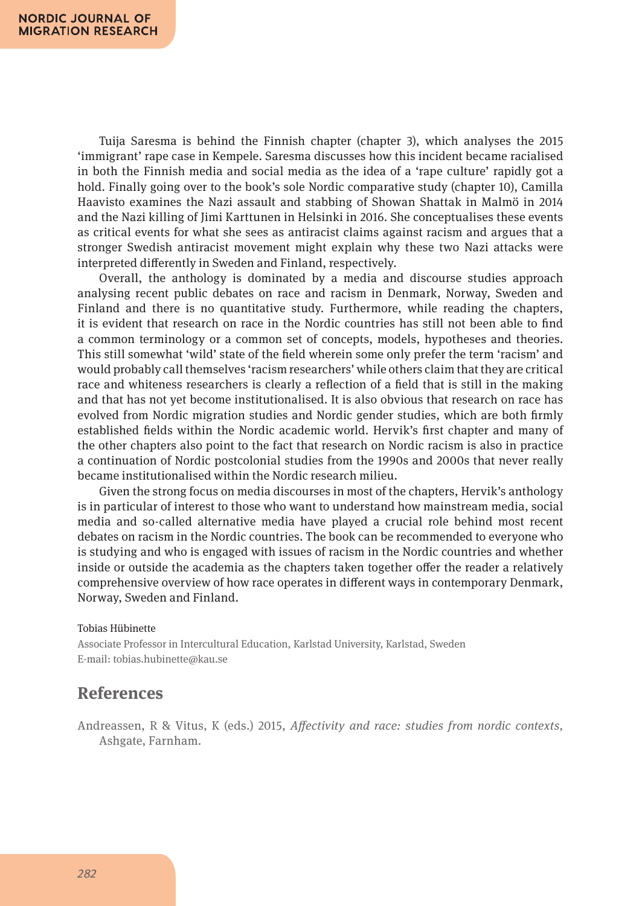Tuija Saresma is behind the Finnish chapter (chapter 3), which analyses the 2015 'immigrant' rape case in Kempele. Saresma discusses how this incident became racialised in both the Finnish media and social media as the idea of a 'rape culture' rapidly got a hold. Finally going over to the book's sole Nordic comparative study (chapter 10), Camilla Haavisto examines the Nazi assault and stabbing of Showan Shattak in Malmö in 2014 and the Nazi killing of Jimi Karttunen in Helsinki in 2016. She conceptualises these events as critical events for what she sees as antiracist claims against racism and argues that a stronger Swedish antiracist movement might explain why these two Nazi attacks were interpreted differently in Sweden and Finland, respectively.

Overall, the anthology is dominated by a media and discourse studies approach analysing recent public debates on race and racism in Denmark, Norway, Sweden and Finland and there is no quantitative study. Furthermore, while reading the chapters, it is evident that research on race in the Nordic countries has still not been able to find a common terminology or a common set of concepts, models, hypotheses and theories. This still somewhat 'wild' state of the field wherein some only prefer the term 'racism' and would probably call themselves 'racism researchers' while others claim that they are critical race and whiteness researchers is clearly a reflection of a field that is still in the making and that has not yet become institutionalised. It is also obvious that research on race has evolved from Nordic migration studies and Nordic gender studies, which are both firmly established fields within the Nordic academic world. Hervik's first chapter and many of the other chapters also point to the fact that research on Nordic racism is also in practice a continuation of Nordic postcolonial studies from the 1990s and 2000s that never really became institutionalised within the Nordic research milieu.

Given the strong focus on media discourses in most of the chapters, Hervik's anthology is in particular of interest to those who want to understand how mainstream media, social media and so-called alternative media have played a crucial role behind most recent debates on racism in the Nordic countries. The book can be recommended to everyone who is studying and who is engaged with issues of racism in the Nordic countries and whether inside or outside the academia as the chapters taken together offer the reader a relatively comprehensive overview of how race operates in different ways in contemporary Denmark, Norway, Sweden and Finland.

#### Tobias Hübinette

Associate Professor in Intercultural Education, Karlstad University, Karlstad, Sweden E-mail: tobias.hubinette@kau.se

### **References**

Andreassen, R & Vitus, K (eds.) 2015, *Affectivity and race: studies from nordic contexts*, Ashgate, Farnham.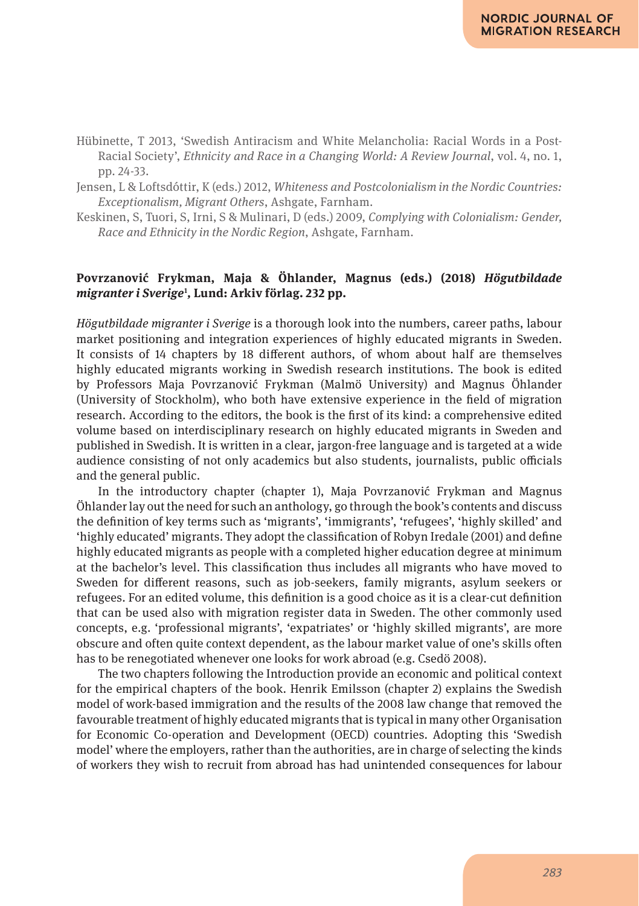Hübinette, T 2013, 'Swedish Antiracism and White Melancholia: Racial Words in a Post-Racial Society', *Ethnicity and Race in a Changing World: A Review Journal*, vol. 4, no. 1, pp. 24-33.

Jensen, L & Loftsdóttir, K (eds.) 2012, *Whiteness and Postcolonialism in the Nordic Countries: Exceptionalism, Migrant Others*, Ashgate, Farnham.

Keskinen, S, Tuori, S, Irni, S & Mulinari, D (eds.) 2009, *Complying with Colonialism: Gender, Race and Ethnicity in the Nordic Region*, Ashgate, Farnham.

### **Povrzanović Frykman, Maja & Öhlander, Magnus (eds.) (2018)** *Högutbildade migranter i Sverige***<sup>1</sup>** *,* **Lund: Arkiv förlag. 232 pp.**

*Högutbildade migranter i Sverige* is a thorough look into the numbers, career paths, labour market positioning and integration experiences of highly educated migrants in Sweden. It consists of 14 chapters by 18 different authors, of whom about half are themselves highly educated migrants working in Swedish research institutions. The book is edited by Professors Maja Povrzanović Frykman (Malmö University) and Magnus Öhlander (University of Stockholm), who both have extensive experience in the field of migration research. According to the editors, the book is the first of its kind: a comprehensive edited volume based on interdisciplinary research on highly educated migrants in Sweden and published in Swedish. It is written in a clear, jargon-free language and is targeted at a wide audience consisting of not only academics but also students, journalists, public officials and the general public.

In the introductory chapter (chapter 1), Maja Povrzanović Frykman and Magnus Öhlander lay out the need for such an anthology, go through the book's contents and discuss the definition of key terms such as 'migrants', 'immigrants', 'refugees', 'highly skilled' and 'highly educated' migrants. They adopt the classification of Robyn Iredale (2001) and define highly educated migrants as people with a completed higher education degree at minimum at the bachelor's level. This classification thus includes all migrants who have moved to Sweden for different reasons, such as job-seekers, family migrants, asylum seekers or refugees. For an edited volume, this definition is a good choice as it is a clear-cut definition that can be used also with migration register data in Sweden. The other commonly used concepts, e.g. 'professional migrants', 'expatriates' or 'highly skilled migrants', are more obscure and often quite context dependent, as the labour market value of one's skills often has to be renegotiated whenever one looks for work abroad (e.g. Csedö 2008).

The two chapters following the Introduction provide an economic and political context for the empirical chapters of the book. Henrik Emilsson (chapter 2) explains the Swedish model of work-based immigration and the results of the 2008 law change that removed the favourable treatment of highly educated migrants that is typical in many other Organisation for Economic Co-operation and Development (OECD) countries. Adopting this 'Swedish model' where the employers, rather than the authorities, are in charge of selecting the kinds of workers they wish to recruit from abroad has had unintended consequences for labour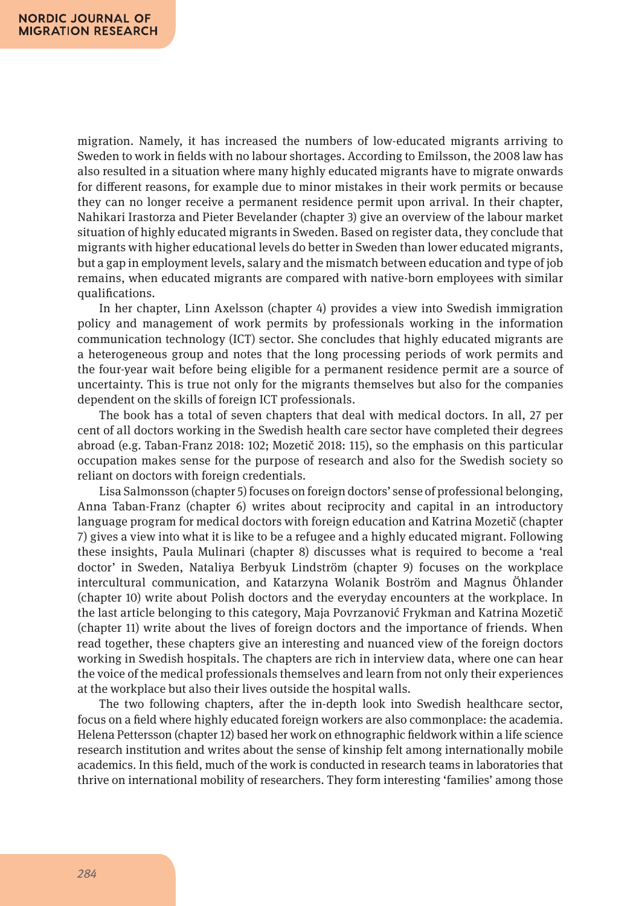migration. Namely, it has increased the numbers of low-educated migrants arriving to Sweden to work in fields with no labour shortages. According to Emilsson, the 2008 law has also resulted in a situation where many highly educated migrants have to migrate onwards for different reasons, for example due to minor mistakes in their work permits or because they can no longer receive a permanent residence permit upon arrival. In their chapter, Nahikari Irastorza and Pieter Bevelander (chapter 3) give an overview of the labour market situation of highly educated migrants in Sweden. Based on register data, they conclude that migrants with higher educational levels do better in Sweden than lower educated migrants, but a gap in employment levels, salary and the mismatch between education and type of job remains, when educated migrants are compared with native-born employees with similar qualifications.

In her chapter, Linn Axelsson (chapter 4) provides a view into Swedish immigration policy and management of work permits by professionals working in the information communication technology (ICT) sector. She concludes that highly educated migrants are a heterogeneous group and notes that the long processing periods of work permits and the four-year wait before being eligible for a permanent residence permit are a source of uncertainty. This is true not only for the migrants themselves but also for the companies dependent on the skills of foreign ICT professionals.

The book has a total of seven chapters that deal with medical doctors. In all, 27 per cent of all doctors working in the Swedish health care sector have completed their degrees abroad (e.g. Taban-Franz 2018: 102; Mozetič 2018: 115), so the emphasis on this particular occupation makes sense for the purpose of research and also for the Swedish society so reliant on doctors with foreign credentials.

Lisa Salmonsson (chapter 5) focuses on foreign doctors' sense of professional belonging, Anna Taban-Franz (chapter 6) writes about reciprocity and capital in an introductory language program for medical doctors with foreign education and Katrina Mozetič (chapter 7) gives a view into what it is like to be a refugee and a highly educated migrant. Following these insights, Paula Mulinari (chapter 8) discusses what is required to become a 'real doctor' in Sweden, Nataliya Berbyuk Lindström (chapter 9) focuses on the workplace intercultural communication, and Katarzyna Wolanik Boström and Magnus Öhlander (chapter 10) write about Polish doctors and the everyday encounters at the workplace. In the last article belonging to this category, Maja Povrzanović Frykman and Katrina Mozetič (chapter 11) write about the lives of foreign doctors and the importance of friends. When read together, these chapters give an interesting and nuanced view of the foreign doctors working in Swedish hospitals. The chapters are rich in interview data, where one can hear the voice of the medical professionals themselves and learn from not only their experiences at the workplace but also their lives outside the hospital walls.

The two following chapters, after the in-depth look into Swedish healthcare sector, focus on a field where highly educated foreign workers are also commonplace: the academia. Helena Pettersson (chapter 12) based her work on ethnographic fieldwork within a life science research institution and writes about the sense of kinship felt among internationally mobile academics. In this field, much of the work is conducted in research teams in laboratories that thrive on international mobility of researchers. They form interesting 'families' among those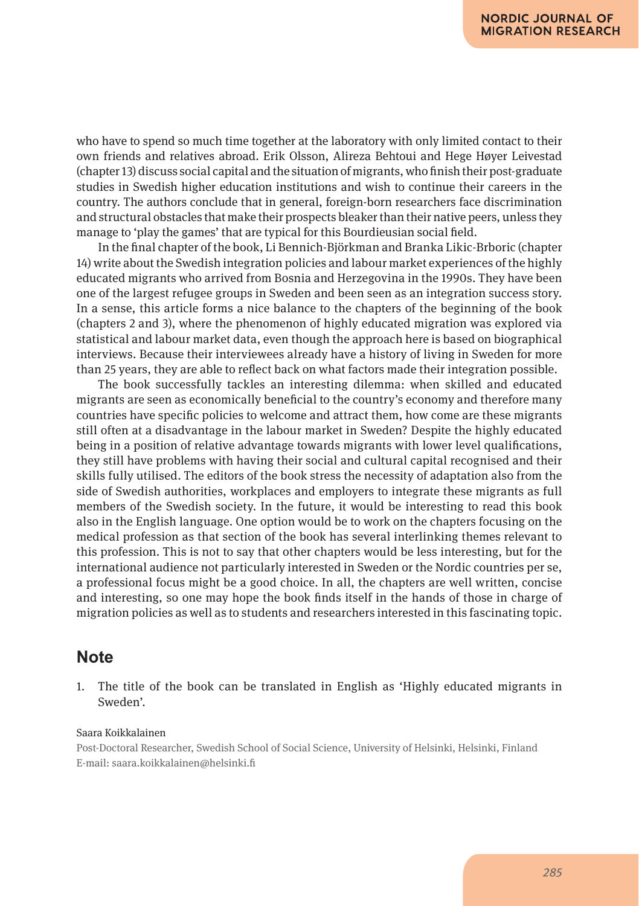who have to spend so much time together at the laboratory with only limited contact to their own friends and relatives abroad. Erik Olsson, Alireza Behtoui and Hege Høyer Leivestad (chapter 13) discuss social capital and the situation of migrants, who finish their post-graduate studies in Swedish higher education institutions and wish to continue their careers in the country. The authors conclude that in general, foreign-born researchers face discrimination and structural obstacles that make their prospects bleaker than their native peers, unless they manage to 'play the games' that are typical for this Bourdieusian social field.

In the final chapter of the book, Li Bennich-Björkman and Branka Likic-Brboric (chapter 14) write about the Swedish integration policies and labour market experiences of the highly educated migrants who arrived from Bosnia and Herzegovina in the 1990s. They have been one of the largest refugee groups in Sweden and been seen as an integration success story. In a sense, this article forms a nice balance to the chapters of the beginning of the book (chapters 2 and 3), where the phenomenon of highly educated migration was explored via statistical and labour market data, even though the approach here is based on biographical interviews. Because their interviewees already have a history of living in Sweden for more than 25 years, they are able to reflect back on what factors made their integration possible.

The book successfully tackles an interesting dilemma: when skilled and educated migrants are seen as economically beneficial to the country's economy and therefore many countries have specific policies to welcome and attract them, how come are these migrants still often at a disadvantage in the labour market in Sweden? Despite the highly educated being in a position of relative advantage towards migrants with lower level qualifications, they still have problems with having their social and cultural capital recognised and their skills fully utilised. The editors of the book stress the necessity of adaptation also from the side of Swedish authorities, workplaces and employers to integrate these migrants as full members of the Swedish society. In the future, it would be interesting to read this book also in the English language. One option would be to work on the chapters focusing on the medical profession as that section of the book has several interlinking themes relevant to this profession. This is not to say that other chapters would be less interesting, but for the international audience not particularly interested in Sweden or the Nordic countries per se, a professional focus might be a good choice. In all, the chapters are well written, concise and interesting, so one may hope the book finds itself in the hands of those in charge of migration policies as well as to students and researchers interested in this fascinating topic.

# **Note**

1. The title of the book can be translated in English as 'Highly educated migrants in Sweden'.

#### Saara Koikkalainen

Post-Doctoral Researcher, Swedish School of Social Science, University of Helsinki, Helsinki, Finland E-mail: saara.koikkalainen@helsinki.fi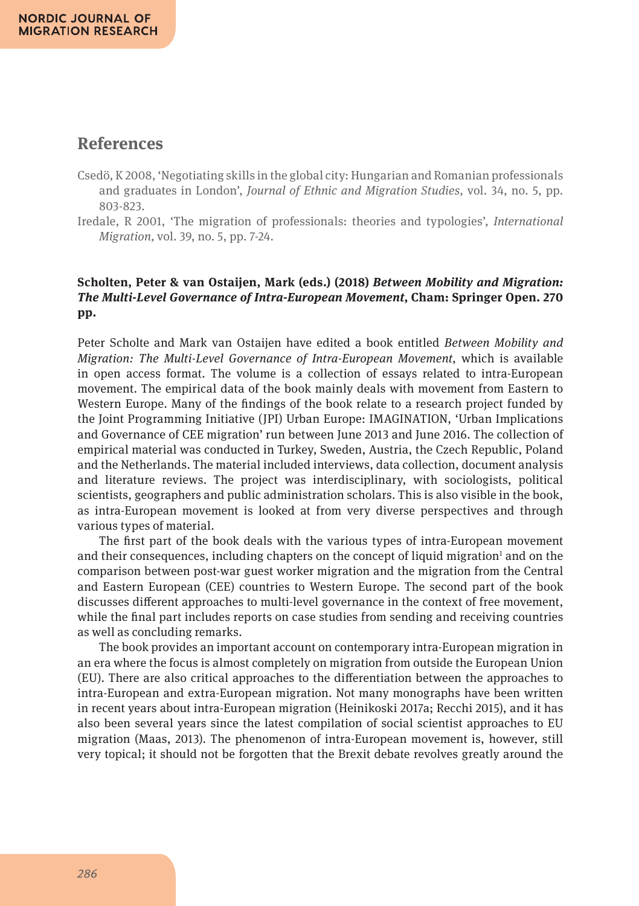# **References**

- Csedö, K 2008, 'Negotiating skills in the global city: Hungarian and Romanian professionals and graduates in London', *Journal of Ethnic and Migration Studies,* vol. 34, no. 5, pp. 803-823.
- Iredale, R 2001, 'The migration of professionals: theories and typologies', *International Migration,* vol. 39, no. 5, pp. 7-24.

### **Scholten, Peter & van Ostaijen, Mark (eds.) (2018)** *Between Mobility and Migration: The Multi-Level Governance of Intra-European Movement***, Cham: Springer Open. 270 pp.**

Peter Scholte and Mark van Ostaijen have edited a book entitled *Between Mobility and Migration: The Multi-Level Governance of Intra-European Movement*, which is available in open access format. The volume is a collection of essays related to intra-European movement. The empirical data of the book mainly deals with movement from Eastern to Western Europe. Many of the findings of the book relate to a research project funded by the Joint Programming Initiative (JPI) Urban Europe: IMAGINATION, 'Urban Implications and Governance of CEE migration' run between June 2013 and June 2016. The collection of empirical material was conducted in Turkey, Sweden, Austria, the Czech Republic, Poland and the Netherlands. The material included interviews, data collection, document analysis and literature reviews. The project was interdisciplinary, with sociologists, political scientists, geographers and public administration scholars. This is also visible in the book, as intra-European movement is looked at from very diverse perspectives and through various types of material.

The first part of the book deals with the various types of intra-European movement and their consequences, including chapters on the concept of liquid migration<sup>1</sup> and on the comparison between post-war guest worker migration and the migration from the Central and Eastern European (CEE) countries to Western Europe. The second part of the book discusses different approaches to multi-level governance in the context of free movement, while the final part includes reports on case studies from sending and receiving countries as well as concluding remarks.

The book provides an important account on contemporary intra-European migration in an era where the focus is almost completely on migration from outside the European Union (EU). There are also critical approaches to the differentiation between the approaches to intra-European and extra-European migration. Not many monographs have been written in recent years about intra-European migration (Heinikoski 2017a; Recchi 2015), and it has also been several years since the latest compilation of social scientist approaches to EU migration (Maas, 2013). The phenomenon of intra-European movement is, however, still very topical; it should not be forgotten that the Brexit debate revolves greatly around the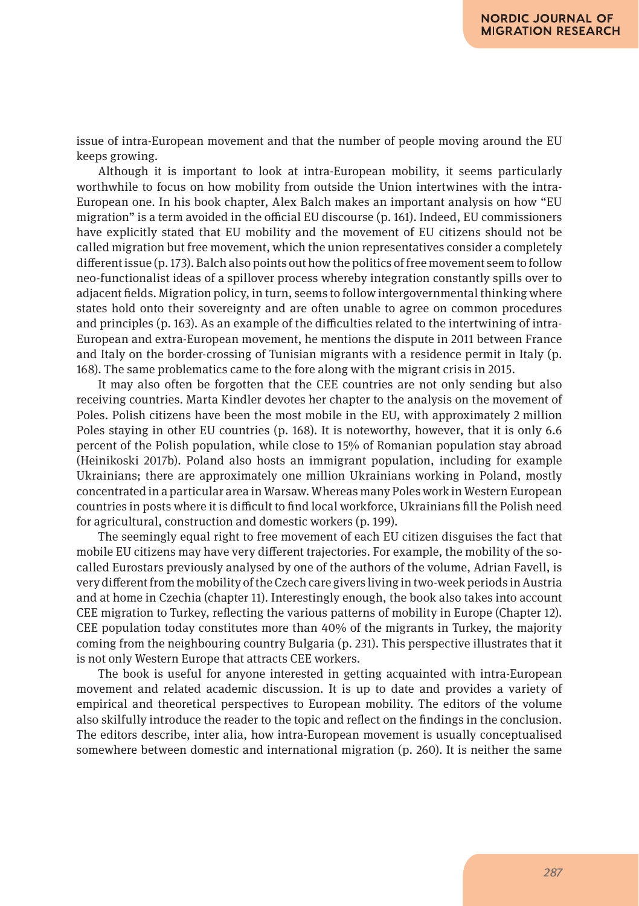issue of intra-European movement and that the number of people moving around the EU keeps growing.

Although it is important to look at intra-European mobility, it seems particularly worthwhile to focus on how mobility from outside the Union intertwines with the intra-European one. In his book chapter, Alex Balch makes an important analysis on how "EU migration" is a term avoided in the official EU discourse (p. 161). Indeed, EU commissioners have explicitly stated that EU mobility and the movement of EU citizens should not be called migration but free movement, which the union representatives consider a completely different issue (p. 173). Balch also points out how the politics of free movement seem to follow neo-functionalist ideas of a spillover process whereby integration constantly spills over to adjacent fields. Migration policy, in turn, seems to follow intergovernmental thinking where states hold onto their sovereignty and are often unable to agree on common procedures and principles (p. 163). As an example of the difficulties related to the intertwining of intra-European and extra-European movement, he mentions the dispute in 2011 between France and Italy on the border-crossing of Tunisian migrants with a residence permit in Italy (p. 168). The same problematics came to the fore along with the migrant crisis in 2015.

It may also often be forgotten that the CEE countries are not only sending but also receiving countries. Marta Kindler devotes her chapter to the analysis on the movement of Poles. Polish citizens have been the most mobile in the EU, with approximately 2 million Poles staying in other EU countries (p. 168). It is noteworthy, however, that it is only 6.6 percent of the Polish population, while close to 15% of Romanian population stay abroad (Heinikoski 2017b). Poland also hosts an immigrant population, including for example Ukrainians; there are approximately one million Ukrainians working in Poland, mostly concentrated in a particular area in Warsaw. Whereas many Poles work in Western European countries in posts where it is difficult to find local workforce, Ukrainians fill the Polish need for agricultural, construction and domestic workers (p. 199).

The seemingly equal right to free movement of each EU citizen disguises the fact that mobile EU citizens may have very different trajectories. For example, the mobility of the socalled Eurostars previously analysed by one of the authors of the volume, Adrian Favell, is very different from the mobility of the Czech care givers living in two-week periods in Austria and at home in Czechia (chapter 11). Interestingly enough, the book also takes into account CEE migration to Turkey, reflecting the various patterns of mobility in Europe (Chapter 12). CEE population today constitutes more than 40% of the migrants in Turkey, the majority coming from the neighbouring country Bulgaria (p. 231). This perspective illustrates that it is not only Western Europe that attracts CEE workers.

The book is useful for anyone interested in getting acquainted with intra-European movement and related academic discussion. It is up to date and provides a variety of empirical and theoretical perspectives to European mobility. The editors of the volume also skilfully introduce the reader to the topic and reflect on the findings in the conclusion. The editors describe, inter alia, how intra-European movement is usually conceptualised somewhere between domestic and international migration (p. 260). It is neither the same